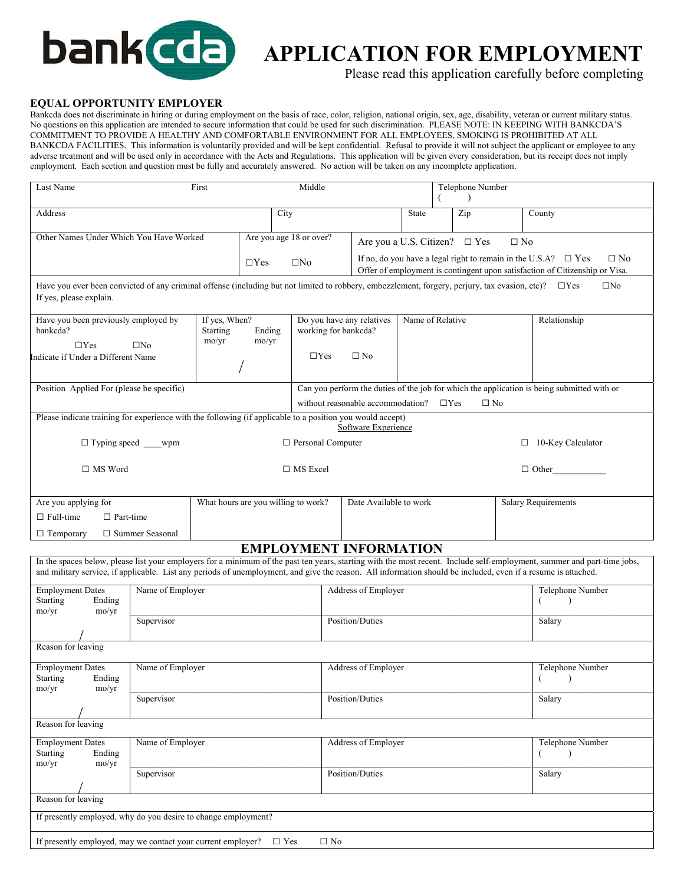

# **APPLICATION FOR EMPLOYMENT**

Please read this application carefully before completing

#### **EQUAL OPPORTUNITY EMPLOYER**

Bankcda does not discriminate in hiring or during employment on the basis of race, color, religion, national origin, sex, age, disability, veteran or current military status. No questions on this application are intended to secure information that could be used for such discrimination. PLEASE NOTE: IN KEEPING WITH BANKCDA'S COMMITMENT TO PROVIDE A HEALTHY AND COMFORTABLE ENVIRONMENT FOR ALL EMPLOYEES, SMOKING IS PROHIBITED AT ALL BANKCDA FACILITIES. This information is voluntarily provided and will be kept confidential. Refusal to provide it will not subject the applicant or employee to any adverse treatment and will be used only in accordance with the Acts and Regulations. This application will be given every consideration, but its receipt does not imply employment. Each section and question must be fully and accurately answered. No action will be taken on any incomplete application.

| Last Name                                                                              | First                                                                                                                                                                        |                 | Middle                                                        |                                                                                                                                                       | Telephone Number<br>$\lambda$ |            |                  |                                                                                                                                                                         |
|----------------------------------------------------------------------------------------|------------------------------------------------------------------------------------------------------------------------------------------------------------------------------|-----------------|---------------------------------------------------------------|-------------------------------------------------------------------------------------------------------------------------------------------------------|-------------------------------|------------|------------------|-------------------------------------------------------------------------------------------------------------------------------------------------------------------------|
| Address                                                                                |                                                                                                                                                                              |                 | City                                                          |                                                                                                                                                       | State                         | Zip        |                  | County                                                                                                                                                                  |
| Other Names Under Which You Have Worked                                                |                                                                                                                                                                              |                 | Are you age 18 or over?                                       | Are you a U.S. Citizen? $\square$ Yes<br>$\Box$ No                                                                                                    |                               |            |                  |                                                                                                                                                                         |
|                                                                                        |                                                                                                                                                                              | $\Box$ Yes      | $\square$ No                                                  | If no, do you have a legal right to remain in the U.S.A? $\square$ Yes<br>Offer of employment is contingent upon satisfaction of Citizenship or Visa. |                               |            | $\Box$ No        |                                                                                                                                                                         |
| If yes, please explain.                                                                | Have you ever been convicted of any criminal offense (including but not limited to robbery, embezzlement, forgery, perjury, tax evasion, etc)? $\square$ Yes<br>$\square$ No |                 |                                                               |                                                                                                                                                       |                               |            |                  |                                                                                                                                                                         |
| If yes, When?<br>Have you been previously employed by<br>bankcda?<br>Starting<br>mo/yr |                                                                                                                                                                              | Ending<br>mo/yr | Do you have any relatives<br>working for bankcda?             |                                                                                                                                                       | Name of Relative              |            |                  | Relationship                                                                                                                                                            |
| $\Box$ Yes<br>Indicate if Under a Different Name                                       | $\square$ No                                                                                                                                                                 |                 | $\Box$ Yes                                                    | $\Box$ No                                                                                                                                             |                               |            |                  |                                                                                                                                                                         |
| Position Applied For (please be specific)                                              |                                                                                                                                                                              |                 |                                                               | without reasonable accommodation?                                                                                                                     |                               | $\Box$ Yes | $\Box$ No        | Can you perform the duties of the job for which the application is being submitted with or                                                                              |
|                                                                                        | Please indicate training for experience with the following (if applicable to a position you would accept)                                                                    |                 |                                                               | Software Experience                                                                                                                                   |                               |            |                  |                                                                                                                                                                         |
|                                                                                        | $\Box$ Typing speed wpm                                                                                                                                                      |                 | □ Personal Computer                                           |                                                                                                                                                       |                               |            |                  | $\Box$ 10-Key Calculator                                                                                                                                                |
| $\Box$ MS Word                                                                         |                                                                                                                                                                              |                 | $\Box$ MS Excel                                               |                                                                                                                                                       |                               |            | $\Box$ Other     |                                                                                                                                                                         |
| Are you applying for                                                                   |                                                                                                                                                                              |                 | Date Available to work<br>What hours are you willing to work? |                                                                                                                                                       |                               |            |                  | <b>Salary Requirements</b>                                                                                                                                              |
| $\Box$ Full-time<br>$\Box$ Part-time<br>$\Box$ Temporary                               | □ Summer Seasonal                                                                                                                                                            |                 |                                                               |                                                                                                                                                       |                               |            |                  |                                                                                                                                                                         |
|                                                                                        |                                                                                                                                                                              |                 | <b>EMPLOYMENT INFORMATION</b>                                 |                                                                                                                                                       |                               |            |                  |                                                                                                                                                                         |
|                                                                                        | and military service, if applicable. List any periods of unemployment, and give the reason. All information should be included, even if a resume is attached.                |                 |                                                               |                                                                                                                                                       |                               |            |                  | In the spaces below, please list your employers for a minimum of the past ten years, starting with the most recent. Include self-employment, summer and part-time jobs, |
| <b>Employment Dates</b><br>Starting<br>Ending                                          | Name of Employer                                                                                                                                                             |                 |                                                               | Address of Employer                                                                                                                                   |                               |            |                  | Telephone Number<br>6<br>$\lambda$                                                                                                                                      |
| mo/yr<br>mo/yr                                                                         | Supervisor                                                                                                                                                                   |                 |                                                               | Position/Duties                                                                                                                                       |                               |            | Salary           |                                                                                                                                                                         |
| Reason for leaving                                                                     |                                                                                                                                                                              |                 |                                                               |                                                                                                                                                       |                               |            |                  |                                                                                                                                                                         |
| <b>Employment Dates</b><br>Ending<br>Starting<br>mo/yr<br>mo/yr                        | Name of Employer                                                                                                                                                             |                 |                                                               | Address of Employer                                                                                                                                   |                               |            | Telephone Number |                                                                                                                                                                         |
|                                                                                        | Supervisor                                                                                                                                                                   |                 |                                                               | Position/Duties                                                                                                                                       |                               |            | Salary           |                                                                                                                                                                         |
| Reason for leaving                                                                     |                                                                                                                                                                              |                 |                                                               |                                                                                                                                                       |                               |            |                  |                                                                                                                                                                         |
| Name of Employer<br><b>Employment Dates</b><br>Starting<br>Ending<br>mo/yr<br>mo/yr    |                                                                                                                                                                              |                 |                                                               | Address of Employer<br>6<br>$\rightarrow$                                                                                                             |                               |            | Telephone Number |                                                                                                                                                                         |
|                                                                                        | Supervisor                                                                                                                                                                   |                 |                                                               | Position/Duties                                                                                                                                       |                               |            |                  | Salary                                                                                                                                                                  |
| Reason for leaving                                                                     |                                                                                                                                                                              |                 |                                                               |                                                                                                                                                       |                               |            |                  |                                                                                                                                                                         |
|                                                                                        | If presently employed, why do you desire to change employment?                                                                                                               |                 |                                                               |                                                                                                                                                       |                               |            |                  |                                                                                                                                                                         |
|                                                                                        | If presently employed, may we contact your current employer?<br>$\Box$ No<br>$\Box$ Yes                                                                                      |                 |                                                               |                                                                                                                                                       |                               |            |                  |                                                                                                                                                                         |